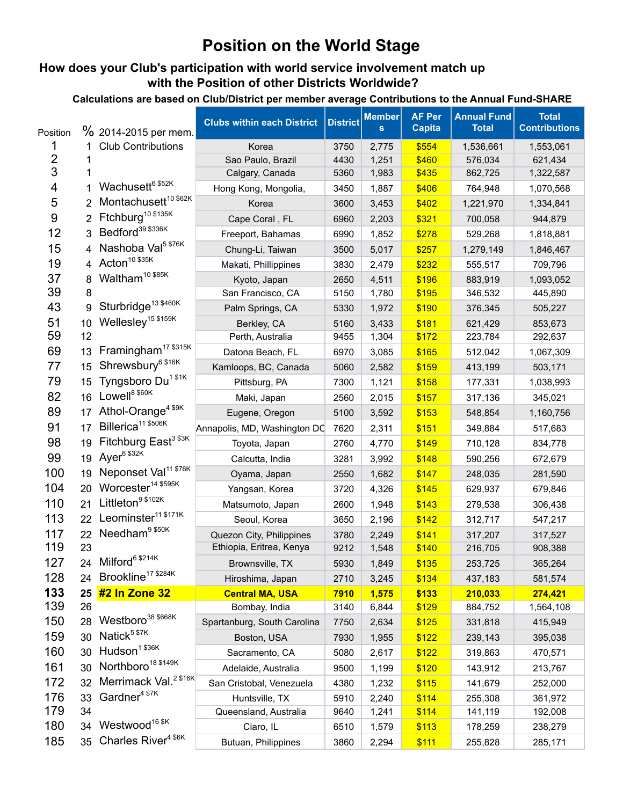## **Position on the World Stage**

## **How does your Club's participation with world service involvement match up with the Position of other Districts Worldwide?**

**Calculations are based on Club/District per member average Contributions to the Annual Fund-SHARE**

| Position       |    | % 2014-2015 per mem.              | <b>Clubs within each District</b> | <b>District</b> | <b>Member</b><br>$\mathbf{s}$ | <b>AF Per</b><br><b>Capita</b> | <b>Annual Fund</b><br><b>Total</b> | <b>Total</b><br><b>Contributions</b> |
|----------------|----|-----------------------------------|-----------------------------------|-----------------|-------------------------------|--------------------------------|------------------------------------|--------------------------------------|
|                |    | <b>Club Contributions</b>         | Korea                             | 3750            | 2,775                         | \$554                          | 1,536,661                          | 1,553,061                            |
| $\overline{2}$ |    |                                   | Sao Paulo, Brazil                 | 4430            | 1,251                         | \$460                          | 576,034                            | 621,434                              |
| 3              |    |                                   | Calgary, Canada                   | 5360            | 1,983                         | \$435                          | 862,725                            | 1,322,587                            |
| 4              |    | Wachusett <sup>6 \$52K</sup>      | Hong Kong, Mongolia,              | 3450            | 1,887                         | \$406                          | 764,948                            | 1,070,568                            |
| 5              | 2  | Montachusett <sup>10 \$62K</sup>  | Korea                             | 3600            | 3,453                         | \$402                          | 1,221,970                          | 1,334,841                            |
| 9              |    | Ftchburg <sup>10 \$135K</sup>     | Cape Coral, FL                    | 6960            | 2,203                         | \$321                          | 700,058                            | 944,879                              |
| 12             | 3  | Bedford <sup>39 \$336K</sup>      | Freeport, Bahamas                 | 6990            | 1,852                         | \$278                          | 529,268                            | 1,818,881                            |
| 15             | 4  | Nashoba Val <sup>5 \$76K</sup>    | Chung-Li, Taiwan                  | 3500            | 5,017                         | \$257                          | 1,279,149                          | 1,846,467                            |
| 19             | 4  | Acton <sup>10 \$35K</sup>         | Makati, Phillippines              | 3830            | 2,479                         | \$232                          | 555,517                            | 709,796                              |
| 37             | 8  | Waltham <sup>10 \$85K</sup>       | Kyoto, Japan                      | 2650            | 4,511                         | \$196                          | 883,919                            | 1,093,052                            |
| 39             | 8  |                                   | San Francisco, CA                 | 5150            | 1,780                         | \$195                          | 346,532                            | 445,890                              |
| 43             | 9  | Sturbridge <sup>13 \$460K</sup>   | Palm Springs, CA                  | 5330            | 1,972                         | \$190                          | 376,345                            | 505,227                              |
| 51             | 10 | Wellesley <sup>15 \$159K</sup>    | Berkley, CA                       | 5160            | 3,433                         | \$181                          | 621,429                            | 853,673                              |
| 59             | 12 |                                   | Perth, Australia                  | 9455            | 1,304                         | \$172                          | 223,784                            | 292,637                              |
| 69             | 13 | Framingham <sup>17 \$315K</sup>   | Datona Beach, FL                  | 6970            | 3,085                         | \$165                          | 512,042                            | 1,067,309                            |
| 77             | 15 | Shrewsbury <sup>6 \$16K</sup>     | Kamloops, BC, Canada              | 5060            | 2,582                         | \$159                          | 413,199                            | 503,171                              |
| 79             | 15 | Tyngsboro Du <sup>1 \$1K</sup>    | Pittsburg, PA                     | 7300            | 1,121                         | \$158                          | 177,331                            | 1,038,993                            |
| 82             | 16 | Lowell <sup>8 \$60K</sup>         | Maki, Japan                       | 2560            | 2,015                         | \$157                          | 317,136                            | 345,021                              |
| 89             | 17 | Athol-Orange <sup>4 \$9K</sup>    | Eugene, Oregon                    | 5100            | 3,592                         | \$153                          | 548,854                            | 1,160,756                            |
| 91             | 17 | Billerica <sup>11 \$506K</sup>    | Annapolis, MD, Washington DC      | 7620            | 2,311                         | \$151                          | 349,884                            | 517,683                              |
| 98             | 19 | Fitchburg East <sup>3 \$3K</sup>  | Toyota, Japan                     | 2760            | 4,770                         | \$149                          | 710,128                            | 834,778                              |
| 99             | 19 | Ayer <sup>6 \$32K</sup>           | Calcutta, India                   | 3281            | 3,992                         | \$148                          | 590,256                            | 672,679                              |
| 100            | 19 | Neponset Val <sup>11 \$76K</sup>  | Oyama, Japan                      | 2550            | 1,682                         | \$147                          | 248,035                            | 281,590                              |
| 104            | 20 | Worcester <sup>14 \$595K</sup>    | Yangsan, Korea                    | 3720            | 4,326                         | \$145                          | 629,937                            | 679,846                              |
| 110            | 21 | Littleton <sup>9 \$102K</sup>     | Matsumoto, Japan                  | 2600            | 1,948                         | \$143                          | 279,538                            | 306,438                              |
| 113            | 22 | Leominster <sup>11 \$171K</sup>   | Seoul, Korea                      | 3650            | 2,196                         | \$142                          | 312,717                            | 547,217                              |
| 117            | 22 | Needham <sup>9 \$50K</sup>        | Quezon City, Philippines          | 3780            | 2,249                         | \$141                          | 317,207                            | 317,527                              |
| 119            | 23 |                                   | Ethiopia, Eritrea, Kenya          | 9212            | 1,548                         | \$140                          | 216,705                            | 908,388                              |
| 127            |    | 24 Milford <sup>6 \$214K</sup>    | Brownsville, TX                   | 5930            | 1,849                         | \$135                          | 253,725                            | 365,264                              |
| 128            | 24 | Brookline <sup>17 \$284K</sup>    | Hiroshima, Japan                  | 2710            | 3,245                         | \$134                          | 437,183                            | 581,574                              |
| 133            | 25 | #2 In Zone 32                     | <b>Central MA, USA</b>            | 7910            | 1,575                         | \$133                          | 210,033                            | 274,421                              |
| 139            | 26 |                                   | Bombay, India                     | 3140            | 6,844                         | \$129                          | 884,752                            | 1,564,108                            |
| 150            | 28 | Westboro <sup>38</sup> \$668K     | Spartanburg, South Carolina       | 7750            | 2,634                         | \$125                          | 331,818                            | 415,949                              |
| 159            | 30 | Natick <sup>5 \$7K</sup>          | Boston, USA                       | 7930            | 1,955                         | \$122                          | 239,143                            | 395,038                              |
| 160            | 30 | Hudson <sup>1 \$36K</sup>         | Sacramento, CA                    | 5080            | 2,617                         | \$122                          | 319,863                            | 470,571                              |
| 161            | 30 | Northboro <sup>18 \$149K</sup>    | Adelaide, Australia               | 9500            | 1,199                         | \$120                          | 143,912                            | 213,767                              |
| 172            | 32 | Merrimack Val. <sup>2 \$16K</sup> | San Cristobal, Venezuela          | 4380            | 1,232                         | \$115                          | 141,679                            | 252,000                              |
| 176            | 33 | Gardner <sup>4 \$7K</sup>         | Huntsville, TX                    | 5910            | 2,240                         | \$114                          | 255,308                            | 361,972                              |
| 179            | 34 |                                   | Queensland, Australia             | 9640            | 1,241                         | \$114                          | 141,119                            | 192,008                              |
| 180            | 34 | Westwood <sup>16 \$K</sup>        | Ciaro, IL                         | 6510            | 1,579                         | \$113                          | 178,259                            | 238,279                              |
| 185            | 35 | Charles River <sup>4 \$6K</sup>   | Butuan, Philippines               | 3860            | 2,294                         | \$111                          | 255,828                            | 285,171                              |